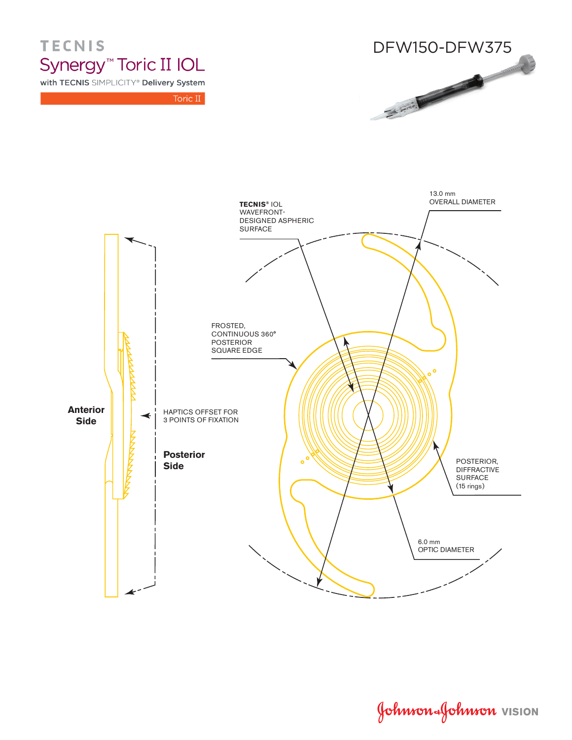# **DFW150-DFW375** Monton Com of Fri. Die

Synergy<sup>™</sup> Toric II IOL

**TECNIS** 

with TECNIS SIMPLICITY® Delivery System

Toric II



Johnson Johnson VISION